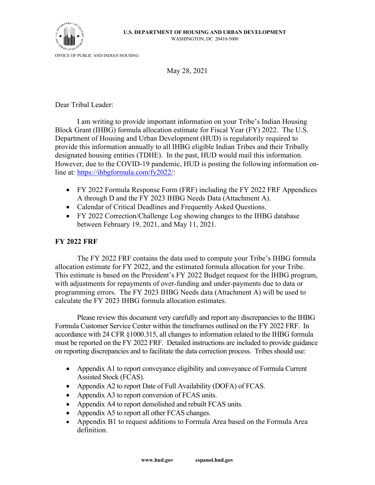

OFFICE OF PUBLIC AND INDIAN HOUSING

May 28, 2021

Dear Tribal Leader:

I am writing to provide important information on your Tribe's Indian Housing Block Grant (IHBG) formula allocation estimate for Fiscal Year (FY) 2022. The U.S. Department of Housing and Urban Development (HUD) is regulatorily required to provide this information annually to all IHBG eligible Indian Tribes and their Tribally designated housing entities (TDHE). In the past, HUD would mail this information. However, due to the COVID-19 pandemic, HUD is posting the following information online at: [https://ihbgformula.com/fy2022/:](https://ihbgformula.com/fy2022/)

- FY 2022 Formula Response Form (FRF) including the FY 2022 FRF Appendices A through D and the FY 2023 IHBG Needs Data (Attachment A).
- Calendar of Critical Deadlines and Frequently Asked Questions.
- FY 2022 Correction/Challenge Log showing changes to the IHBG database between February 19, 2021, and May 11, 2021.

## **FY 2022 FRF**

The FY 2022 FRF contains the data used to compute your Tribe's IHBG formula allocation estimate for FY 2022, and the estimated formula allocation for your Tribe. This estimate is based on the President's FY 2022 Budget request for the IHBG program, with adjustments for repayments of over-funding and under-payments due to data or programming errors. The FY 2023 IHBG Needs data (Attachment A) will be used to calculate the FY 2023 IHBG formula allocation estimates.

Please review this document very carefully and report any discrepancies to the IHBG Formula Customer Service Center within the timeframes outlined on the FY 2022 FRF. In accordance with 24 CFR §1000.315, all changes to information related to the IHBG formula must be reported on the FY 2022 FRF. Detailed instructions are included to provide guidance on reporting discrepancies and to facilitate the data correction process. Tribes should use:

- Appendix A1 to report conveyance eligibility and conveyance of Formula Current Assisted Stock (FCAS).
- Appendix A2 to report Date of Full Availability (DOFA) of FCAS.
- Appendix A3 to report conversion of FCAS units.
- Appendix A4 to report demolished and rebuilt FCAS units.
- Appendix A5 to report all other FCAS changes.
- Appendix B1 to request additions to Formula Area based on the Formula Area definition.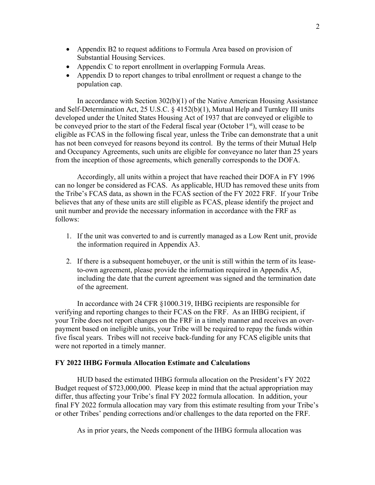- Appendix B2 to request additions to Formula Area based on provision of Substantial Housing Services.
- Appendix C to report enrollment in overlapping Formula Areas.
- Appendix D to report changes to tribal enrollment or request a change to the population cap.

In accordance with Section 302(b)(1) of the Native American Housing Assistance and Self-Determination Act, 25 U.S.C. § 4152(b)(1), Mutual Help and Turnkey III units developed under the United States Housing Act of 1937 that are conveyed or eligible to be conveyed prior to the start of the Federal fiscal year (October  $1<sup>st</sup>$ ), will cease to be eligible as FCAS in the following fiscal year, unless the Tribe can demonstrate that a unit has not been conveyed for reasons beyond its control. By the terms of their Mutual Help and Occupancy Agreements, such units are eligible for conveyance no later than 25 years from the inception of those agreements, which generally corresponds to the DOFA.

Accordingly, all units within a project that have reached their DOFA in FY 1996 can no longer be considered as FCAS. As applicable, HUD has removed these units from the Tribe's FCAS data, as shown in the FCAS section of the FY 2022 FRF. If your Tribe believes that any of these units are still eligible as FCAS, please identify the project and unit number and provide the necessary information in accordance with the FRF as follows:

- 1. If the unit was converted to and is currently managed as a Low Rent unit, provide the information required in Appendix A3.
- 2. If there is a subsequent homebuyer, or the unit is still within the term of its leaseto-own agreement, please provide the information required in Appendix A5, including the date that the current agreement was signed and the termination date of the agreement.

In accordance with 24 CFR §1000.319, IHBG recipients are responsible for verifying and reporting changes to their FCAS on the FRF. As an IHBG recipient, if your Tribe does not report changes on the FRF in a timely manner and receives an overpayment based on ineligible units, your Tribe will be required to repay the funds within five fiscal years. Tribes will not receive back-funding for any FCAS eligible units that were not reported in a timely manner.

## **FY 2022 IHBG Formula Allocation Estimate and Calculations**

HUD based the estimated IHBG formula allocation on the President's FY 2022 Budget request of \$723,000,000. Please keep in mind that the actual appropriation may differ, thus affecting your Tribe's final FY 2022 formula allocation. In addition, your final FY 2022 formula allocation may vary from this estimate resulting from your Tribe's or other Tribes' pending corrections and/or challenges to the data reported on the FRF.

As in prior years, the Needs component of the IHBG formula allocation was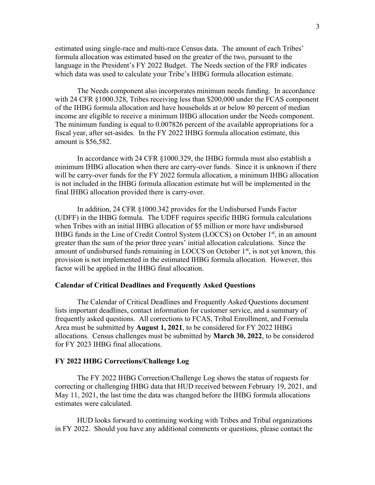estimated using single-race and multi-race Census data. The amount of each Tribes' formula allocation was estimated based on the greater of the two, pursuant to the language in the President's FY 2022 Budget. The Needs section of the FRF indicates which data was used to calculate your Tribe's IHBG formula allocation estimate.

The Needs component also incorporates minimum needs funding. In accordance with 24 CFR §1000.328, Tribes receiving less than \$200,000 under the FCAS component of the IHBG formula allocation and have households at or below 80 percent of median income are eligible to receive a minimum IHBG allocation under the Needs component. The minimum funding is equal to 0.007826 percent of the available appropriations for a fiscal year, after set-asides. In the FY 2022 IHBG formula allocation estimate, this amount is \$56,582.

In accordance with 24 CFR §1000.329, the IHBG formula must also establish a minimum IHBG allocation when there are carry-over funds. Since it is unknown if there will be carry-over funds for the FY 2022 formula allocation, a minimum IHBG allocation is not included in the IHBG formula allocation estimate but will be implemented in the final IHBG allocation provided there is carry-over.

In addition, 24 CFR §1000.342 provides for the Undisbursed Funds Factor (UDFF) in the IHBG formula. The UDFF requires specific IHBG formula calculations when Tribes with an initial IHBG allocation of \$5 million or more have undisbursed IHBG funds in the Line of Credit Control System (LOCCS) on October 1<sup>st</sup>, in an amount greater than the sum of the prior three years' initial allocation calculations. Since the amount of undisbursed funds remaining in LOCCS on October  $1<sup>st</sup>$ , is not yet known, this provision is not implemented in the estimated IHBG formula allocation. However, this factor will be applied in the IHBG final allocation.

## **Calendar of Critical Deadlines and Frequently Asked Questions**

The Calendar of Critical Deadlines and Frequently Asked Questions document lists important deadlines, contact information for customer service, and a summary of frequently asked questions. All corrections to FCAS, Tribal Enrollment, and Formula Area must be submitted by **August 1, 2021**, to be considered for FY 2022 IHBG allocations. Census challenges must be submitted by **March 30, 2022**, to be considered for FY 2023 IHBG final allocations.

## **FY 2022 IHBG Corrections/Challenge Log**

The FY 2022 IHBG Correction/Challenge Log shows the status of requests for correcting or challenging IHBG data that HUD received between February 19, 2021, and May 11, 2021, the last time the data was changed before the IHBG formula allocations estimates were calculated.

HUD looks forward to continuing working with Tribes and Tribal organizations in FY 2022. Should you have any additional comments or questions, please contact the